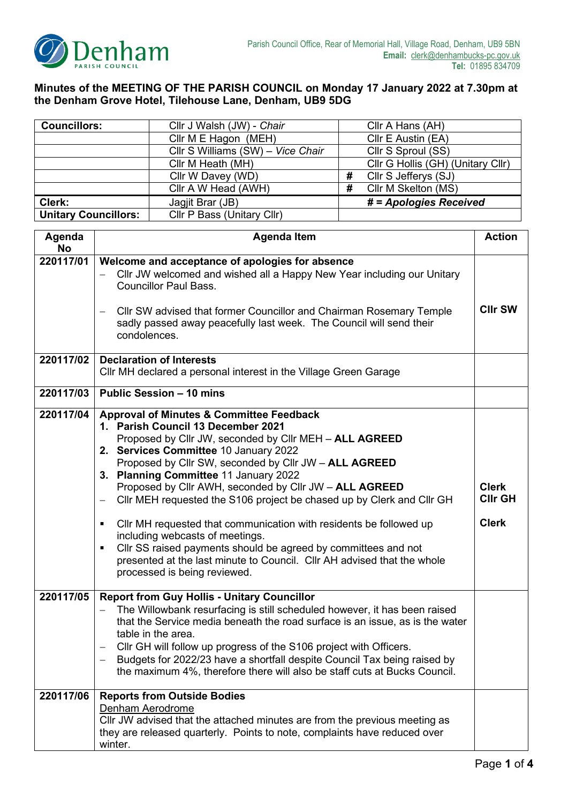

## **Minutes of the MEETING OF THE PARISH COUNCIL on Monday 17 January 2022 at 7.30pm at the Denham Grove Hotel, Tilehouse Lane, Denham, UB9 5DG**

| <b>Councillors:</b>         | Cllr J Walsh (JW) - Chair         |   | Cllr A Hans (AH)                  |
|-----------------------------|-----------------------------------|---|-----------------------------------|
|                             | Cllr M E Hagon (MEH)              |   | Cllr E Austin (EA)                |
|                             | Cllr S Williams (SW) - Vice Chair |   | Cllr S Sproul (SS)                |
|                             | Cllr M Heath (MH)                 |   | Cllr G Hollis (GH) (Unitary Cllr) |
|                             | Cllr W Davey (WD)                 | # | Cllr S Jefferys (SJ)              |
|                             | Cllr A W Head (AWH)               | # | Cllr M Skelton (MS)               |
| Clerk:                      | Jagjit Brar (JB)                  |   | # = Apologies Received            |
| <b>Unitary Councillors:</b> | Cllr P Bass (Unitary Cllr)        |   |                                   |

| Agenda<br><b>No</b> | <b>Agenda Item</b>                                                                                                                                                                                                                                                                                                                                                                                                                                                                                                                                                                                                                                                                                                                                     |                                                |  |
|---------------------|--------------------------------------------------------------------------------------------------------------------------------------------------------------------------------------------------------------------------------------------------------------------------------------------------------------------------------------------------------------------------------------------------------------------------------------------------------------------------------------------------------------------------------------------------------------------------------------------------------------------------------------------------------------------------------------------------------------------------------------------------------|------------------------------------------------|--|
| 220117/01           | Welcome and acceptance of apologies for absence<br>CIIr JW welcomed and wished all a Happy New Year including our Unitary<br><b>Councillor Paul Bass.</b><br>CIIr SW advised that former Councillor and Chairman Rosemary Temple<br>sadly passed away peacefully last week. The Council will send their<br>condolences.                                                                                                                                                                                                                                                                                                                                                                                                                                | <b>CIIr SW</b>                                 |  |
| 220117/02           | <b>Declaration of Interests</b><br>CIIr MH declared a personal interest in the Village Green Garage                                                                                                                                                                                                                                                                                                                                                                                                                                                                                                                                                                                                                                                    |                                                |  |
| 220117/03           | <b>Public Session - 10 mins</b>                                                                                                                                                                                                                                                                                                                                                                                                                                                                                                                                                                                                                                                                                                                        |                                                |  |
| 220117/04           | <b>Approval of Minutes &amp; Committee Feedback</b><br>1. Parish Council 13 December 2021<br>Proposed by Cllr JW, seconded by Cllr MEH - ALL AGREED<br>2. Services Committee 10 January 2022<br>Proposed by Cllr SW, seconded by Cllr JW - ALL AGREED<br>3. Planning Committee 11 January 2022<br>Proposed by Cllr AWH, seconded by Cllr JW - ALL AGREED<br>Cllr MEH requested the S106 project be chased up by Clerk and Cllr GH<br>$\qquad \qquad -$<br>CIIr MH requested that communication with residents be followed up<br>٠<br>including webcasts of meetings.<br>Cllr SS raised payments should be agreed by committees and not<br>٠<br>presented at the last minute to Council. Cllr AH advised that the whole<br>processed is being reviewed. | <b>Clerk</b><br><b>CIIr GH</b><br><b>Clerk</b> |  |
| 220117/05           | <b>Report from Guy Hollis - Unitary Councillor</b><br>The Willowbank resurfacing is still scheduled however, it has been raised<br>that the Service media beneath the road surface is an issue, as is the water<br>table in the area.<br>CIIr GH will follow up progress of the S106 project with Officers.<br>Budgets for 2022/23 have a shortfall despite Council Tax being raised by<br>the maximum 4%, therefore there will also be staff cuts at Bucks Council.                                                                                                                                                                                                                                                                                   |                                                |  |
| 220117/06           | <b>Reports from Outside Bodies</b><br>Denham Aerodrome<br>CIIr JW advised that the attached minutes are from the previous meeting as<br>they are released quarterly. Points to note, complaints have reduced over<br>winter.                                                                                                                                                                                                                                                                                                                                                                                                                                                                                                                           |                                                |  |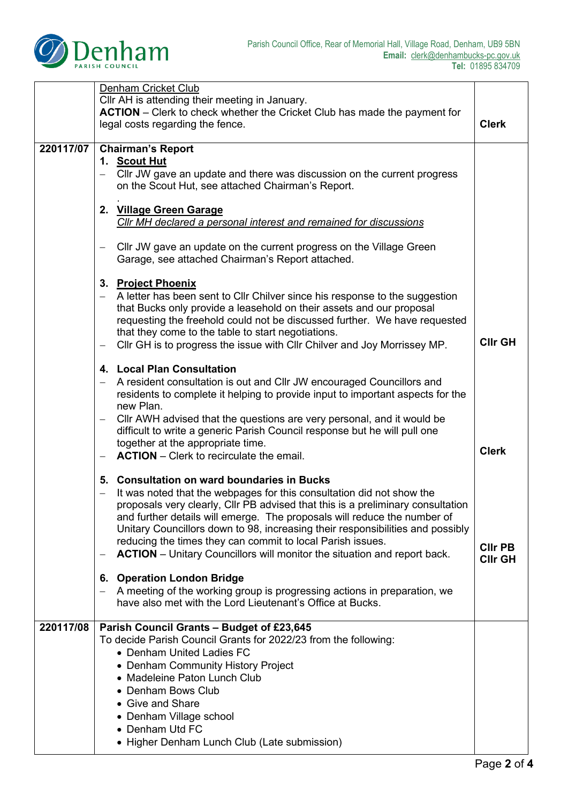

|           | Denham Cricket Club<br>Cllr AH is attending their meeting in January.<br><b>ACTION</b> – Clerk to check whether the Cricket Club has made the payment for<br>legal costs regarding the fence.                                                                                                                                                                                                                                                                                                                                                           | <b>Clerk</b>                     |  |
|-----------|---------------------------------------------------------------------------------------------------------------------------------------------------------------------------------------------------------------------------------------------------------------------------------------------------------------------------------------------------------------------------------------------------------------------------------------------------------------------------------------------------------------------------------------------------------|----------------------------------|--|
| 220117/07 | <b>Chairman's Report</b><br>1. Scout Hut<br>Cllr JW gave an update and there was discussion on the current progress<br>$\qquad \qquad -$<br>on the Scout Hut, see attached Chairman's Report.                                                                                                                                                                                                                                                                                                                                                           |                                  |  |
|           | 2. Village Green Garage<br>Cllr MH declared a personal interest and remained for discussions                                                                                                                                                                                                                                                                                                                                                                                                                                                            |                                  |  |
|           | Cllr JW gave an update on the current progress on the Village Green<br>$\overline{\phantom{0}}$<br>Garage, see attached Chairman's Report attached.                                                                                                                                                                                                                                                                                                                                                                                                     |                                  |  |
|           | 3. Project Phoenix<br>A letter has been sent to Cllr Chilver since his response to the suggestion<br>that Bucks only provide a leasehold on their assets and our proposal<br>requesting the freehold could not be discussed further. We have requested<br>that they come to the table to start negotiations.<br>CIIr GH is to progress the issue with CIIr Chilver and Joy Morrissey MP.<br>—                                                                                                                                                           | <b>CIIr GH</b>                   |  |
|           | 4. Local Plan Consultation<br>A resident consultation is out and Cllr JW encouraged Councillors and<br>residents to complete it helping to provide input to important aspects for the<br>new Plan.                                                                                                                                                                                                                                                                                                                                                      |                                  |  |
|           | CIIr AWH advised that the questions are very personal, and it would be<br>$\overline{\phantom{0}}$<br>difficult to write a generic Parish Council response but he will pull one<br>together at the appropriate time.<br><b>ACTION</b> – Clerk to recirculate the email.                                                                                                                                                                                                                                                                                 | <b>Clerk</b>                     |  |
|           | 5. Consultation on ward boundaries in Bucks<br>It was noted that the webpages for this consultation did not show the<br>$\overline{\phantom{0}}$<br>proposals very clearly, Cllr PB advised that this is a preliminary consultation<br>and further details will emerge. The proposals will reduce the number of<br>Unitary Councillors down to 98, increasing their responsibilities and possibly<br>reducing the times they can commit to local Parish issues.<br><b>ACTION</b> – Unitary Councillors will monitor the situation and report back.<br>— | <b>CIIr PB</b><br><b>CIIr GH</b> |  |
|           | 6. Operation London Bridge<br>A meeting of the working group is progressing actions in preparation, we<br>$\overline{\phantom{m}}$<br>have also met with the Lord Lieutenant's Office at Bucks.                                                                                                                                                                                                                                                                                                                                                         |                                  |  |
| 220117/08 | Parish Council Grants - Budget of £23,645<br>To decide Parish Council Grants for 2022/23 from the following:<br>• Denham United Ladies FC<br>• Denham Community History Project<br>• Madeleine Paton Lunch Club<br>• Denham Bows Club<br>• Give and Share<br>• Denham Village school<br>• Denham Utd FC<br>• Higher Denham Lunch Club (Late submission)                                                                                                                                                                                                 |                                  |  |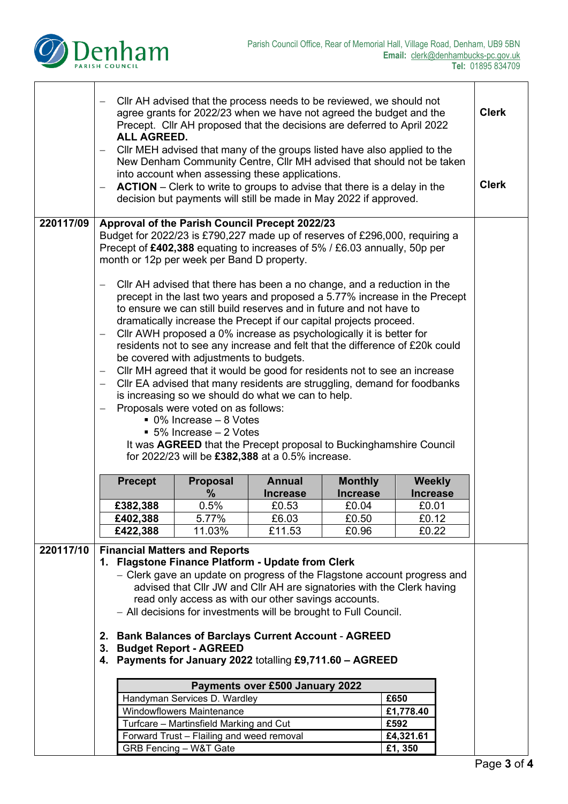

|           | $\overline{\phantom{m}}$                                                                                                                                                                                                                                                                                                                                                    | CIIr AH advised that the process needs to be reviewed, we should not<br>agree grants for 2022/23 when we have not agreed the budget and the<br>Precept. Cllr AH proposed that the decisions are deferred to April 2022<br><b>ALL AGREED.</b><br>CIIr MEH advised that many of the groups listed have also applied to the |                                                                                                                                                                                                                                                                                                                                                                                                                           |                                 |                                   |                          | <b>Clerk</b> |              |
|-----------|-----------------------------------------------------------------------------------------------------------------------------------------------------------------------------------------------------------------------------------------------------------------------------------------------------------------------------------------------------------------------------|--------------------------------------------------------------------------------------------------------------------------------------------------------------------------------------------------------------------------------------------------------------------------------------------------------------------------|---------------------------------------------------------------------------------------------------------------------------------------------------------------------------------------------------------------------------------------------------------------------------------------------------------------------------------------------------------------------------------------------------------------------------|---------------------------------|-----------------------------------|--------------------------|--------------|--------------|
|           |                                                                                                                                                                                                                                                                                                                                                                             | New Denham Community Centre, Cllr MH advised that should not be taken<br>into account when assessing these applications.<br><b>ACTION</b> – Clerk to write to groups to advise that there is a delay in the<br>decision but payments will still be made in May 2022 if approved.                                         |                                                                                                                                                                                                                                                                                                                                                                                                                           |                                 |                                   |                          |              | <b>Clerk</b> |
| 220117/09 | $\qquad \qquad -$                                                                                                                                                                                                                                                                                                                                                           |                                                                                                                                                                                                                                                                                                                          | Approval of the Parish Council Precept 2022/23<br>Budget for 2022/23 is £790,227 made up of reserves of £296,000, requiring a<br>Precept of £402,388 equating to increases of 5% / £6.03 annually, 50p per<br>month or 12p per week per Band D property.<br>Cllr AH advised that there has been a no change, and a reduction in the                                                                                       |                                 |                                   |                          |              |              |
|           | $\overline{\phantom{m}}$                                                                                                                                                                                                                                                                                                                                                    |                                                                                                                                                                                                                                                                                                                          | precept in the last two years and proposed a 5.77% increase in the Precept<br>to ensure we can still build reserves and in future and not have to<br>dramatically increase the Precept if our capital projects proceed.<br>CIIr AWH proposed a 0% increase as psychologically it is better for<br>residents not to see any increase and felt that the difference of £20k could<br>be covered with adjustments to budgets. |                                 |                                   |                          |              |              |
|           | $\overline{\phantom{m}}$<br>$\overline{\phantom{m}}$<br>$\overline{\phantom{0}}$                                                                                                                                                                                                                                                                                            | CIIr MH agreed that it would be good for residents not to see an increase<br>CIIr EA advised that many residents are struggling, demand for foodbanks<br>is increasing so we should do what we can to help.<br>Proposals were voted on as follows:<br>• 0% Increase - 8 Votes<br>■ 5% Increase – 2 Votes                 |                                                                                                                                                                                                                                                                                                                                                                                                                           |                                 |                                   |                          |              |              |
|           |                                                                                                                                                                                                                                                                                                                                                                             | It was AGREED that the Precept proposal to Buckinghamshire Council<br>for 2022/23 will be £382,388 at a 0.5% increase.                                                                                                                                                                                                   |                                                                                                                                                                                                                                                                                                                                                                                                                           |                                 |                                   |                          |              |              |
|           |                                                                                                                                                                                                                                                                                                                                                                             | <b>Precept</b>                                                                                                                                                                                                                                                                                                           | <b>Proposal</b>                                                                                                                                                                                                                                                                                                                                                                                                           | <b>Annual</b>                   | <b>Monthly</b><br><b>Increase</b> | <b>Weekly</b>            |              |              |
|           |                                                                                                                                                                                                                                                                                                                                                                             | £382,388                                                                                                                                                                                                                                                                                                                 | ℅<br>0.5%                                                                                                                                                                                                                                                                                                                                                                                                                 | <b>Increase</b><br>£0.53        | £0.04                             | <b>Increase</b><br>£0.01 |              |              |
|           |                                                                                                                                                                                                                                                                                                                                                                             | £402,388                                                                                                                                                                                                                                                                                                                 | 5.77%                                                                                                                                                                                                                                                                                                                                                                                                                     | £6.03                           | £0.50                             | £0.12                    |              |              |
|           |                                                                                                                                                                                                                                                                                                                                                                             | £422,388                                                                                                                                                                                                                                                                                                                 | 11.03%                                                                                                                                                                                                                                                                                                                                                                                                                    | £11.53                          | £0.96                             | £0.22                    |              |              |
| 220117/10 | <b>Financial Matters and Reports</b><br>1. Flagstone Finance Platform - Update from Clerk<br>- Clerk gave an update on progress of the Flagstone account progress and<br>advised that Cllr JW and Cllr AH are signatories with the Clerk having<br>read only access as with our other savings accounts.<br>- All decisions for investments will be brought to Full Council. |                                                                                                                                                                                                                                                                                                                          |                                                                                                                                                                                                                                                                                                                                                                                                                           |                                 |                                   |                          |              |              |
|           | <b>Bank Balances of Barclays Current Account - AGREED</b><br>2.<br><b>Budget Report - AGREED</b><br>3.<br>4. Payments for January 2022 totalling £9,711.60 - AGREED                                                                                                                                                                                                         |                                                                                                                                                                                                                                                                                                                          |                                                                                                                                                                                                                                                                                                                                                                                                                           |                                 |                                   |                          |              |              |
|           |                                                                                                                                                                                                                                                                                                                                                                             |                                                                                                                                                                                                                                                                                                                          |                                                                                                                                                                                                                                                                                                                                                                                                                           | Payments over £500 January 2022 |                                   |                          |              |              |
|           |                                                                                                                                                                                                                                                                                                                                                                             |                                                                                                                                                                                                                                                                                                                          | Handyman Services D. Wardley                                                                                                                                                                                                                                                                                                                                                                                              |                                 |                                   | £650                     |              |              |
|           |                                                                                                                                                                                                                                                                                                                                                                             |                                                                                                                                                                                                                                                                                                                          | Windowflowers Maintenance                                                                                                                                                                                                                                                                                                                                                                                                 |                                 |                                   | £1,778.40                |              |              |
|           |                                                                                                                                                                                                                                                                                                                                                                             |                                                                                                                                                                                                                                                                                                                          | Turfcare - Martinsfield Marking and Cut                                                                                                                                                                                                                                                                                                                                                                                   |                                 |                                   | £592                     |              |              |
|           |                                                                                                                                                                                                                                                                                                                                                                             |                                                                                                                                                                                                                                                                                                                          | Forward Trust - Flailing and weed removal                                                                                                                                                                                                                                                                                                                                                                                 |                                 |                                   | £4,321.61                |              |              |
|           | GRB Fencing - W&T Gate<br>£1,350                                                                                                                                                                                                                                                                                                                                            |                                                                                                                                                                                                                                                                                                                          |                                                                                                                                                                                                                                                                                                                                                                                                                           |                                 |                                   |                          |              |              |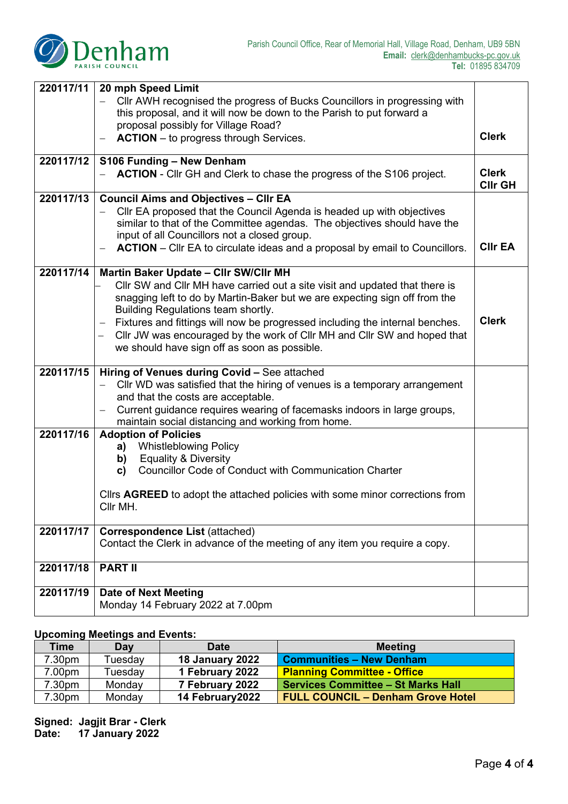

| 220117/11 | 20 mph Speed Limit                                                                                          |                                |  |  |
|-----------|-------------------------------------------------------------------------------------------------------------|--------------------------------|--|--|
|           | CIIr AWH recognised the progress of Bucks Councillors in progressing with                                   |                                |  |  |
|           | this proposal, and it will now be down to the Parish to put forward a                                       |                                |  |  |
|           | proposal possibly for Village Road?                                                                         |                                |  |  |
|           | <b>ACTION</b> – to progress through Services.                                                               | <b>Clerk</b>                   |  |  |
| 220117/12 | S106 Funding - New Denham                                                                                   |                                |  |  |
|           | <b>ACTION</b> - Cllr GH and Clerk to chase the progress of the S106 project.                                | <b>Clerk</b><br><b>CIIr GH</b> |  |  |
| 220117/13 | <b>Council Aims and Objectives - Cllr EA</b>                                                                |                                |  |  |
|           | CIIr EA proposed that the Council Agenda is headed up with objectives                                       |                                |  |  |
|           | similar to that of the Committee agendas. The objectives should have the                                    |                                |  |  |
|           | input of all Councillors not a closed group.                                                                | <b>CIIr EA</b>                 |  |  |
|           | <b>ACTION</b> – Cllr EA to circulate ideas and a proposal by email to Councillors.                          |                                |  |  |
| 220117/14 | Martin Baker Update - Cllr SW/Cllr MH                                                                       |                                |  |  |
|           | Cllr SW and Cllr MH have carried out a site visit and updated that there is                                 |                                |  |  |
|           | snagging left to do by Martin-Baker but we are expecting sign off from the                                  |                                |  |  |
|           | Building Regulations team shortly.                                                                          |                                |  |  |
|           | Fixtures and fittings will now be progressed including the internal benches.                                | <b>Clerk</b>                   |  |  |
|           | Cllr JW was encouraged by the work of Cllr MH and Cllr SW and hoped that                                    |                                |  |  |
|           | we should have sign off as soon as possible.                                                                |                                |  |  |
| 220117/15 | Hiring of Venues during Covid - See attached                                                                |                                |  |  |
|           | Cllr WD was satisfied that the hiring of venues is a temporary arrangement                                  |                                |  |  |
|           | and that the costs are acceptable.                                                                          |                                |  |  |
|           | Current guidance requires wearing of facemasks indoors in large groups,                                     |                                |  |  |
|           | maintain social distancing and working from home.                                                           |                                |  |  |
| 220117/16 | <b>Adoption of Policies</b>                                                                                 |                                |  |  |
|           | <b>Whistleblowing Policy</b><br>a)                                                                          |                                |  |  |
|           | <b>Equality &amp; Diversity</b><br>b)<br><b>Councillor Code of Conduct with Communication Charter</b><br>C) |                                |  |  |
|           |                                                                                                             |                                |  |  |
|           | Cllrs AGREED to adopt the attached policies with some minor corrections from                                |                                |  |  |
|           | Cllr MH.                                                                                                    |                                |  |  |
|           |                                                                                                             |                                |  |  |
| 220117/17 | <b>Correspondence List (attached)</b>                                                                       |                                |  |  |
|           | Contact the Clerk in advance of the meeting of any item you require a copy.                                 |                                |  |  |
| 220117/18 | <b>PART II</b>                                                                                              |                                |  |  |
|           |                                                                                                             |                                |  |  |
| 220117/19 | <b>Date of Next Meeting</b>                                                                                 |                                |  |  |
|           | Monday 14 February 2022 at 7.00pm                                                                           |                                |  |  |

## **Upcoming Meetings and Events:**

| Time   | Day     | <b>Date</b>            | <b>Meeting</b>                            |
|--------|---------|------------------------|-------------------------------------------|
| 7.30pm | Tuesdav | <b>18 January 2022</b> | <b>Communities - New Denham</b>           |
| 7.00pm | Tuesdav | 1 February 2022        | <b>Planning Committee - Office</b>        |
| 7.30pm | Monday  | 7 February 2022        | <b>Services Committee - St Marks Hall</b> |
| 7.30pm | Monday  | 14 February 2022       | <b>FULL COUNCIL - Denham Grove Hotel</b>  |

**Signed: Jagjit Brar - Clerk Date: 17 January 2022**